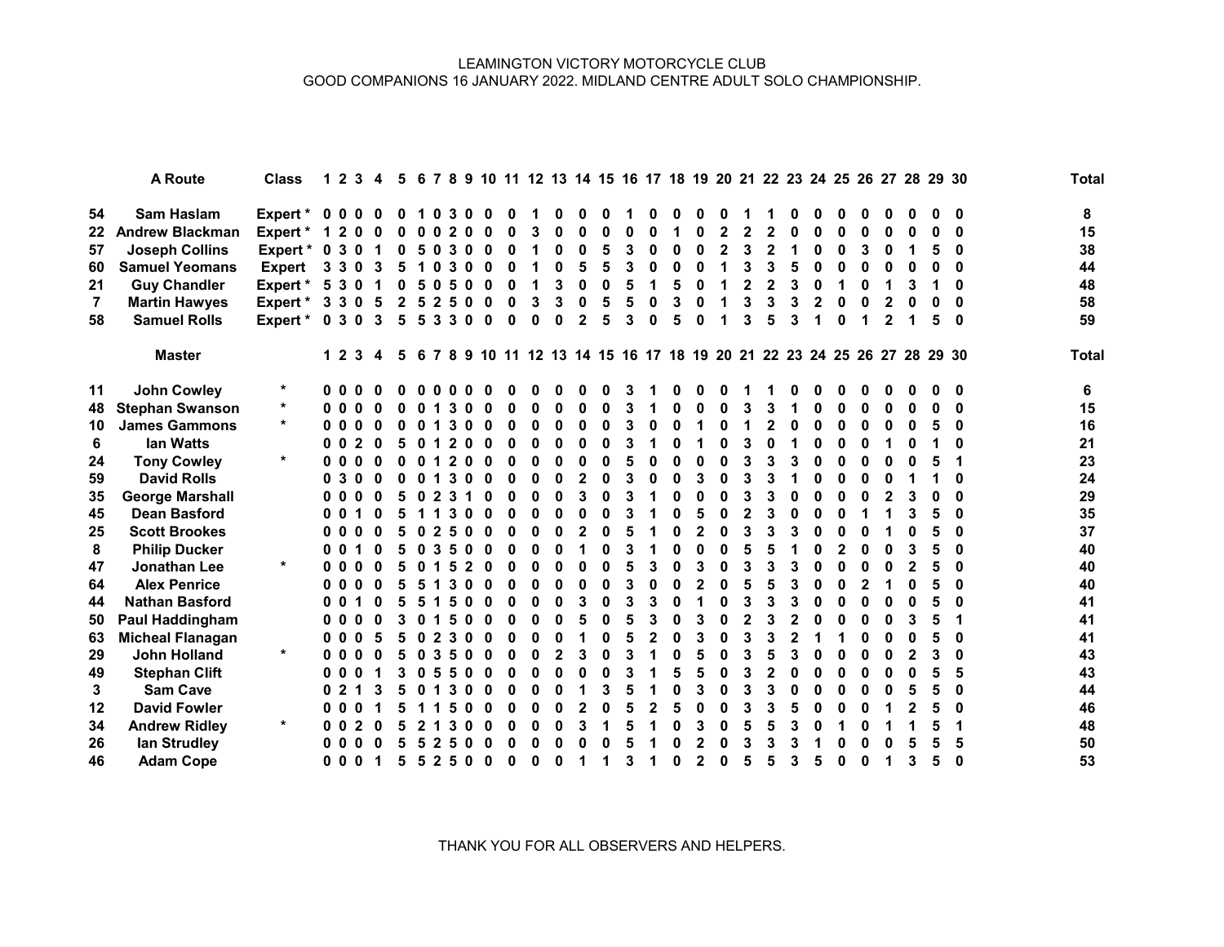## LEAMINGTON VICTORY MOTORCYCLE CLUB GOOD COMPANIONS 16 JANUARY 2022. MIDLAND CENTRE ADULT SOLO CHAMPIONSHIP.

|                | A Route                 | <b>Class</b>  | 1.             | $\mathbf{2}$<br>3 | 4 | 5            |   |              |                          |   |   | 6 7 8 9 10 11 12 13 14 15 16 17 18 19 20 21 22 23 24 25 26 27 28 29 30   |   |   |   |   |              |              |              |   |                |   |   |   |   |   |   |   |          | <b>Total</b> |
|----------------|-------------------------|---------------|----------------|-------------------|---|--------------|---|--------------|--------------------------|---|---|--------------------------------------------------------------------------|---|---|---|---|--------------|--------------|--------------|---|----------------|---|---|---|---|---|---|---|----------|--------------|
| 54             | Sam Haslam              | Expert * 0 0  |                |                   | n | o            |   | n.           | 3<br>0                   |   |   |                                                                          |   |   |   |   |              |              |              |   |                |   |   |   |   |   |   |   |          | 8            |
| 22             | <b>Andrew Blackman</b>  | Expert *      | 1              | 2<br>o            | O | O            | 0 | 0            | $\mathbf{2}$<br>$\Omega$ | ŋ |   | 0                                                                        | n | 0 | ŋ | 0 |              | Λ            | $\mathbf 2$  |   | 2              |   | U | U | 0 | 0 |   | ሰ | O        | 15           |
| 57             | <b>Joseph Collins</b>   | Expert *      | $\mathbf 0$    | 3 <sub>0</sub>    |   | 0            | 5 | 0            | 3<br>0                   |   |   | 0                                                                        | 0 | 5 | 3 | 0 | 0            | Λ            | $\mathbf{2}$ | 3 | $\mathbf{2}$   |   | U |   | 3 |   |   | 5 |          | 38           |
| 60             | <b>Samuel Yeomans</b>   | <b>Expert</b> | 3              | 3                 |   | 5            |   |              |                          |   |   | Λ                                                                        |   | 5 |   |   |              |              |              |   | 3              |   |   |   |   |   |   |   |          | 44           |
| 21             | <b>Guy Chandler</b>     | Expert *      | 5              | 3                 |   | 0            | 5 | 0            |                          |   |   | 3                                                                        |   | 0 |   |   |              |              |              |   | $\mathbf{2}$   |   |   |   | n |   |   |   | O        | 48           |
| $\overline{7}$ | <b>Martin Hawyes</b>    | Expert *      | 3              | 3<br>n            | 5 | $\mathbf{2}$ | 5 | 2            | <sup>0</sup><br>5        |   |   | 3                                                                        | O | 5 | 5 | 0 | 3            |              |              |   | 3              |   | 2 |   | 0 |   |   |   | 0        | 58           |
| 58             | <b>Samuel Rolls</b>     | Expert *      | 0 <sup>3</sup> | $\mathbf{0}$      | 3 | 5            | 5 | 3            | 3<br>$\bf{0}$            | n | U | 0                                                                        | 2 | 5 | 3 | 0 | 5            | ŋ            |              | 3 | 5              | 3 |   |   |   | 2 |   | 5 | $\bf{0}$ | 59           |
|                | <b>Master</b>           |               |                | 1 2 3             | 4 |              |   |              |                          |   |   | 5 6 7 8 9 10 11 12 13 14 15 16 17 18 19 20 21 22 23 24 25 26 27 28 29 30 |   |   |   |   |              |              |              |   |                |   |   |   |   |   |   |   |          | <b>Total</b> |
| 11             | <b>John Cowley</b>      | $\ast$        | 00             |                   |   |              |   |              |                          |   |   |                                                                          |   |   |   |   |              |              |              |   |                |   |   |   |   |   |   |   | 0        | 6            |
| 48             | <b>Stephan Swanson</b>  | *             | 00             | 0                 | O | 0            |   |              | O                        | 0 |   | 0                                                                        | 0 | 0 |   |   | ŋ            |              |              |   | 3              |   | U | 0 | 0 | 0 |   | 0 | O        | 15           |
| 10             | <b>James Gammons</b>    | $\star$       | 00             | 0                 |   | O            |   |              | 3<br>O                   | ŋ |   | 0                                                                        | O | 0 | 3 | 0 | n            |              |              |   | $\mathbf 2$    |   | U | U | 0 | 0 |   | 5 | U        | 16           |
| 6              | lan Watts               |               | 0              | 2<br>0            |   | 5            |   |              |                          |   |   | ŋ                                                                        |   | 0 |   |   |              |              |              |   | U              |   | ŋ |   | Λ |   |   |   |          | 21           |
| 24             | <b>Tony Cowley</b>      | $\ast$        | 00             |                   |   |              |   |              |                          |   |   |                                                                          |   |   |   |   |              |              |              |   |                |   |   |   |   |   |   |   |          | 23           |
| 59             | <b>David Rolls</b>      |               | 0              | 3                 |   |              |   |              |                          |   |   | 0                                                                        |   | ω |   |   |              |              |              |   |                |   |   |   | 0 |   |   |   |          | 24           |
| 35             | <b>George Marshall</b>  |               |                |                   |   | 5            |   |              |                          | ŋ | O | $\Omega$                                                                 |   | 0 |   |   |              |              | O            |   | 3              |   | U | n | 0 |   |   |   |          | 29           |
| 45             | <b>Dean Basford</b>     |               | O.             |                   |   |              |   |              |                          | ŋ | n | 0                                                                        |   | 0 |   |   | ŋ            |              |              |   | 3              |   | U |   |   |   |   |   |          | 35           |
| 25             | <b>Scott Brookes</b>    |               | 0              | o                 |   | 5            |   | 2            |                          |   |   | 0                                                                        |   | 0 |   |   | ŋ            |              |              |   | 3              |   |   |   |   |   |   | 5 |          | 37           |
| 8              | <b>Philip Ducker</b>    |               | 0              | 0                 |   |              |   |              |                          |   |   | 0                                                                        |   | 0 |   |   |              |              |              |   | 5              |   |   |   |   |   |   | 5 |          | 40           |
| 47             | Jonathan Lee            | $\star$       | 0              | 0                 |   | 5            |   |              |                          |   |   |                                                                          |   | 0 |   |   |              |              |              |   | 3              |   |   |   |   |   |   | 5 | n        | 40           |
| 64             | <b>Alex Penrice</b>     |               | 0              | n<br>0            | O | 5            | 5 |              | n                        | ŋ |   | 0                                                                        |   | 0 | 3 | 0 | O            | 2            | n            |   | 5              |   | U | U | 2 |   |   | 5 | $\Omega$ | 40           |
| 44             | <b>Nathan Basford</b>   |               |                |                   |   | 5            | 5 |              | 0                        | 0 |   | ŋ                                                                        |   | 0 | 3 | 3 |              |              |              |   | 3              | 3 | O | 0 | 0 | O |   | 5 |          | 41           |
| 50             | Paul Haddingham         |               |                | 0                 |   |              |   |              | O                        |   |   |                                                                          |   | 0 |   | 3 |              |              |              |   | 3              |   |   |   | 0 |   |   | 5 |          | 41           |
| 63             | <b>Micheal Flanagan</b> |               | 0              |                   |   |              |   |              |                          |   |   |                                                                          |   | 0 |   |   |              |              |              |   | 3              |   |   |   |   |   |   |   |          | 41           |
| 29             | <b>John Holland</b>     | $\star$       | 0              | 0                 |   |              |   |              |                          |   |   |                                                                          |   | ω |   |   |              |              |              |   |                |   |   |   | Λ |   |   | 3 |          | 43           |
| 49             | <b>Stephan Clift</b>    |               | 0              |                   |   |              |   |              |                          | ŋ |   | 0                                                                        |   | 0 |   |   | 5            | 5            | 0            |   | $\overline{2}$ |   | U |   | O | 0 |   | 5 |          | 43           |
| 3              | <b>Sam Cave</b>         |               |                |                   |   | 5            |   |              |                          | O | O | 0                                                                        |   | 3 |   |   | 0            | 3            | O            | 3 | 3              |   | O | O | 0 | 0 |   |   |          | 44           |
| 12             | <b>David Fowler</b>     |               | 0              | 0                 |   |              |   |              |                          | n |   | 0                                                                        |   | 0 |   | 2 | 5            |              |              |   | 3              |   | U |   | 0 |   |   | 5 | n        | 46           |
| 34             | <b>Andrew Ridley</b>    | $\ast$        | 00             |                   |   | 5            |   |              |                          |   |   | ŋ                                                                        |   |   |   |   |              |              |              |   | 5              |   |   |   |   |   |   |   |          | 48           |
| 26             | lan Strudley            |               |                |                   |   |              |   |              |                          |   |   |                                                                          |   |   |   |   |              |              |              |   |                |   |   |   |   |   |   |   |          | 50           |
| 46             | <b>Adam Cope</b>        |               | 0              | 0<br>O            |   | 5            | 5 | $\mathbf{2}$ | 0<br>5                   |   |   | n                                                                        |   |   | 3 |   | $\mathbf{0}$ | $\mathbf{2}$ | 0            |   | 5              | 3 | 5 | O | o |   | 3 | 5 | 0        | 53           |

THANK YOU FOR ALL OBSERVERS AND HELPERS.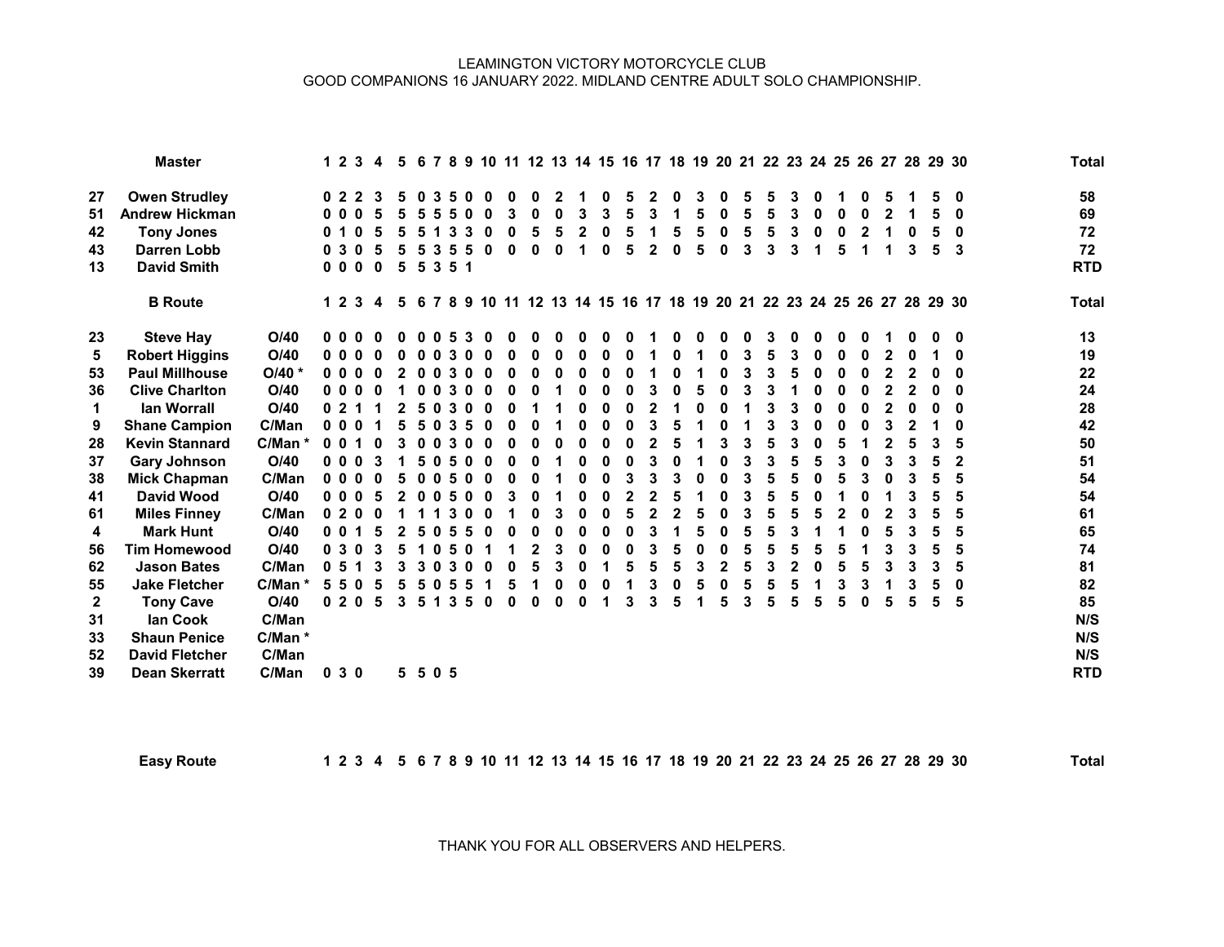## LEAMINGTON VICTORY MOTORCYCLE CLUB GOOD COMPANIONS 16 JANUARY 2022. MIDLAND CENTRE ADULT SOLO CHAMPIONSHIP.

|              | <b>Master</b>         |           |                | 1 2 3    | 4        |   |    |         |     |   |   |   |   |   |   |   | 5 6 7 8 9 10 11 12 13 14 15 16 17 18 19 20 21 22 23 24 25 26 27 28 29 30 |   |   |   |   |   |   |   |   |   | <b>Total</b> |  |
|--------------|-----------------------|-----------|----------------|----------|----------|---|----|---------|-----|---|---|---|---|---|---|---|--------------------------------------------------------------------------|---|---|---|---|---|---|---|---|---|--------------|--|
| 27           | <b>Owen Strudley</b>  |           |                | 022      |          |   |    |         |     |   |   |   |   |   |   |   |                                                                          |   |   |   |   |   |   |   |   | 0 | 58           |  |
| 51           | <b>Andrew Hickman</b> |           | 0 O            |          |          |   |    |         |     |   |   |   | 3 |   |   |   |                                                                          |   |   |   |   | Λ |   |   |   | 0 | 69           |  |
| 42           | <b>Tony Jones</b>     |           | 0              |          |          |   |    |         |     |   |   |   |   |   |   |   |                                                                          |   |   |   |   |   |   |   |   | 0 | 72           |  |
| 43           | <b>Darren Lobb</b>    |           | 0 <sub>3</sub> | $\Omega$ |          | 5 |    | З       |     |   |   | ŋ | U |   | 2 | O | ŋ                                                                        | 3 | 3 | 3 |   | 5 |   |   | 5 | 3 | 72           |  |
| 13           | <b>David Smith</b>    |           |                | 000      | $\bf{0}$ | 5 | 5  |         | 351 |   |   |   |   |   |   |   |                                                                          |   |   |   |   |   |   |   |   |   | <b>RTD</b>   |  |
|              | <b>B</b> Route        |           |                | 1 2 3    | 4        |   |    |         |     |   |   |   |   |   |   |   | 5 6 7 8 9 10 11 12 13 14 15 16 17 18 19 20 21 22 23 24 25 26 27 28 29 30 |   |   |   |   |   |   |   |   |   | <b>Total</b> |  |
| 23           | <b>Steve Hay</b>      | O/40      | 0 <sub>0</sub> |          |          |   |    |         |     |   |   |   |   |   |   |   |                                                                          |   |   |   |   |   |   |   |   | 0 | 13           |  |
| 5            | <b>Robert Higgins</b> | O/40      | 0 <sub>0</sub> |          |          |   |    |         |     |   |   |   |   |   |   |   |                                                                          |   |   |   |   |   |   |   |   | 0 | 19           |  |
| 53           | <b>Paul Millhouse</b> | O/40 *    | 0 <sub>0</sub> |          |          |   |    |         |     |   |   |   |   |   |   |   |                                                                          |   |   |   |   |   |   |   |   | U | 22           |  |
| 36           | <b>Clive Charlton</b> | O/40      | 0 <sub>0</sub> |          |          |   |    |         |     |   |   |   |   |   |   |   |                                                                          |   |   |   |   |   |   |   |   | 0 | 24           |  |
| $\mathbf 1$  | lan Worrall           | O/40      | 0 <sub>2</sub> |          |          |   |    |         |     |   |   |   | U | ŋ |   |   |                                                                          |   |   |   |   | O | U |   |   | 0 | 28           |  |
| 9            | <b>Shane Campion</b>  | C/Man     | 0 <sub>0</sub> |          |          |   |    |         |     |   |   |   |   |   |   |   |                                                                          |   |   |   |   |   |   |   |   | O | 42           |  |
| 28           | <b>Kevin Stannard</b> | C/Man *   | 0 <sub>0</sub> |          |          |   |    |         |     |   |   |   | n |   |   |   |                                                                          |   |   |   |   |   |   |   | 3 |   | 50           |  |
| 37           | <b>Gary Johnson</b>   | O/40      | 0 <sub>0</sub> |          |          |   |    |         |     |   |   |   | U |   |   |   |                                                                          |   |   |   |   | 3 | U | 3 | 5 | 2 | 51           |  |
| 38           | <b>Mick Chapman</b>   | C/Man     | 0 <sub>0</sub> | $\Omega$ | O        | 5 | 0  |         | 5   | n | ŋ |   | 0 | 3 | 3 | 3 |                                                                          |   | 5 |   |   | 5 | 3 |   |   |   | 54           |  |
| 41           | <b>David Wood</b>     | O/40      | 0 <sub>0</sub> |          |          |   |    |         | 5   |   |   |   | n | 2 |   |   |                                                                          |   |   |   |   |   |   |   | 5 | 5 | 54           |  |
| 61           | <b>Miles Finney</b>   | C/Man     | 0              | -2       |          |   |    |         |     |   |   |   |   |   |   |   |                                                                          |   |   |   |   |   |   |   |   |   | 61           |  |
| 4            | <b>Mark Hunt</b>      | O/40      | 0 <sub>0</sub> |          |          |   |    |         |     |   |   |   | n |   |   |   |                                                                          |   |   |   |   |   |   |   |   | 5 | 65           |  |
| 56           | <b>Tim Homewood</b>   | O/40      | 0 <sub>3</sub> |          |          |   |    |         |     |   |   |   | Λ | 0 |   |   |                                                                          |   |   |   |   |   |   |   |   | 5 | 74           |  |
| 62           | <b>Jason Bates</b>    | C/Man     | 0 <sub>5</sub> |          |          |   | 3  |         |     |   |   |   |   | 5 | 5 | 5 |                                                                          |   | 3 |   | n | 5 | 5 |   | 3 | 5 | 81           |  |
| 55           | <b>Jake Fletcher</b>  | $C/Man *$ | 5.             | 5        |          |   |    |         |     |   |   |   |   |   |   |   |                                                                          |   |   |   |   |   | 3 |   |   | 0 | 82           |  |
| $\mathbf{2}$ | <b>Tony Cave</b>      | O/40      | 0 <sub>2</sub> | - 0      | 5        | 3 | 5. |         | 3   |   |   | U |   |   |   |   |                                                                          |   | 5 |   | 5 | 5 | 0 |   | 5 | 5 | 85           |  |
| 31           | lan Cook              | C/Man     |                |          |          |   |    |         |     |   |   |   |   |   |   |   |                                                                          |   |   |   |   |   |   |   |   |   | N/S          |  |
| 33           | <b>Shaun Penice</b>   | C/Man *   |                |          |          |   |    |         |     |   |   |   |   |   |   |   |                                                                          |   |   |   |   |   |   |   |   |   | N/S          |  |
| 52           | <b>David Fletcher</b> | C/Man     |                |          |          |   |    |         |     |   |   |   |   |   |   |   |                                                                          |   |   |   |   |   |   |   |   |   | N/S          |  |
| 39           | <b>Dean Skerratt</b>  | C/Man     |                | 030      |          |   |    | 5 5 0 5 |     |   |   |   |   |   |   |   |                                                                          |   |   |   |   |   |   |   |   |   | <b>RTD</b>   |  |

Easy Route 1 2 3 4 5 6 7 8 9 10 11 12 13 14 15 16 17 18 19 20 21 22 23 24 25 26 27 28 29 30 Total

THANK YOU FOR ALL OBSERVERS AND HELPERS.